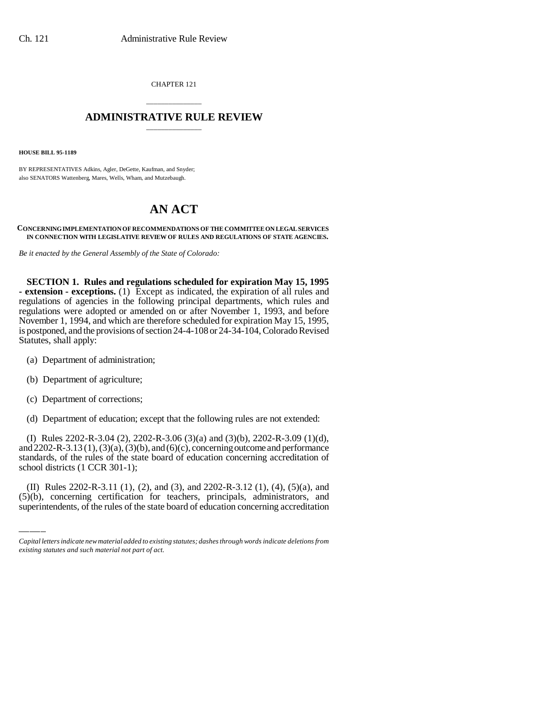CHAPTER 121

## \_\_\_\_\_\_\_\_\_\_\_\_\_\_\_ **ADMINISTRATIVE RULE REVIEW** \_\_\_\_\_\_\_\_\_\_\_\_\_\_\_

**HOUSE BILL 95-1189**

BY REPRESENTATIVES Adkins, Agler, DeGette, Kaufman, and Snyder; also SENATORS Wattenberg, Mares, Wells, Wham, and Mutzebaugh.

## **AN ACT**

## **CONCERNING IMPLEMENTATION OF RECOMMENDATIONS OF THE COMMITTEE ON LEGAL SERVICES IN CONNECTION WITH LEGISLATIVE REVIEW OF RULES AND REGULATIONS OF STATE AGENCIES.**

*Be it enacted by the General Assembly of the State of Colorado:*

**SECTION 1. Rules and regulations scheduled for expiration May 15, 1995 - extension - exceptions.** (1) Except as indicated, the expiration of all rules and regulations of agencies in the following principal departments, which rules and regulations were adopted or amended on or after November 1, 1993, and before November 1, 1994, and which are therefore scheduled for expiration May 15, 1995, is postponed, and the provisions of section 24-4-108 or 24-34-104, Colorado Revised Statutes, shall apply:

- (a) Department of administration;
- (b) Department of agriculture;
- (c) Department of corrections;
- (d) Department of education; except that the following rules are not extended:

standards, or the rates of the st<br>school districts (1 CCR 301-1); (I) Rules 2202-R-3.04 (2), 2202-R-3.06 (3)(a) and (3)(b), 2202-R-3.09 (1)(d), and 2202-R-3.13 (1), (3)(a), (3)(b), and (6)(c), concerning outcome and performance standards, of the rules of the state board of education concerning accreditation of

(II) Rules 2202-R-3.11 (1), (2), and (3), and 2202-R-3.12 (1), (4), (5)(a), and (5)(b), concerning certification for teachers, principals, administrators, and superintendents, of the rules of the state board of education concerning accreditation

*Capital letters indicate new material added to existing statutes; dashes through words indicate deletions from existing statutes and such material not part of act.*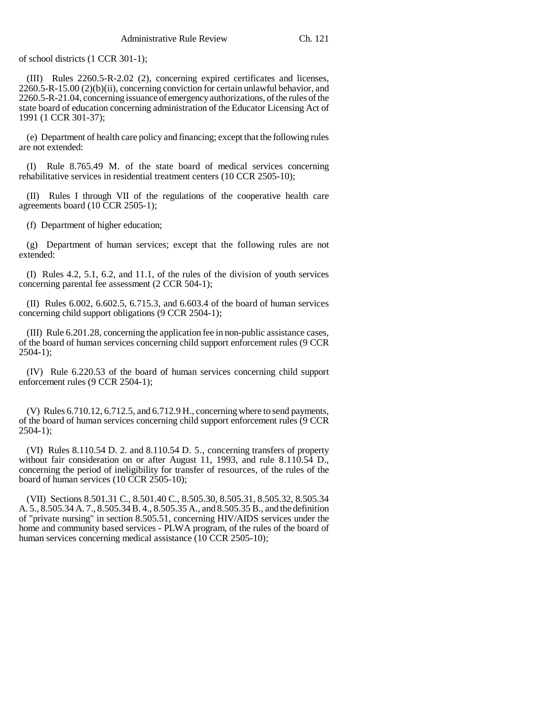of school districts (1 CCR 301-1);

(III) Rules 2260.5-R-2.02 (2), concerning expired certificates and licenses, 2260.5-R-15.00 (2)(b)(ii), concerning conviction for certain unlawful behavior, and 2260.5-R-21.04, concerning issuance of emergency authorizations, of the rules of the state board of education concerning administration of the Educator Licensing Act of 1991 (1 CCR 301-37);

(e) Department of health care policy and financing; except that the following rules are not extended:

(I) Rule 8.765.49 M. of the state board of medical services concerning rehabilitative services in residential treatment centers (10 CCR 2505-10);

(II) Rules I through VII of the regulations of the cooperative health care agreements board (10 CCR 2505-1);

(f) Department of higher education;

(g) Department of human services; except that the following rules are not extended:

(I) Rules 4.2, 5.1, 6.2, and 11.1, of the rules of the division of youth services concerning parental fee assessment (2 CCR 504-1);

(II) Rules 6.002, 6.602.5, 6.715.3, and 6.603.4 of the board of human services concerning child support obligations (9 CCR 2504-1);

(III) Rule 6.201.28, concerning the application fee in non-public assistance cases, of the board of human services concerning child support enforcement rules (9 CCR 2504-1);

(IV) Rule 6.220.53 of the board of human services concerning child support enforcement rules (9 CCR 2504-1);

(V) Rules 6.710.12, 6.712.5, and 6.712.9 H., concerning where to send payments, of the board of human services concerning child support enforcement rules (9 CCR 2504-1);

(VI) Rules 8.110.54 D. 2. and 8.110.54 D. 5., concerning transfers of property without fair consideration on or after August 11, 1993, and rule 8.110.54 D., concerning the period of ineligibility for transfer of resources, of the rules of the board of human services (10 CCR 2505-10);

(VII) Sections 8.501.31 C., 8.501.40 C., 8.505.30, 8.505.31, 8.505.32, 8.505.34 A. 5., 8.505.34 A. 7., 8.505.34 B. 4., 8.505.35 A., and 8.505.35 B., and the definition of "private nursing" in section 8.505.51, concerning HIV/AIDS services under the home and community based services - PLWA program, of the rules of the board of human services concerning medical assistance (10 CCR 2505-10);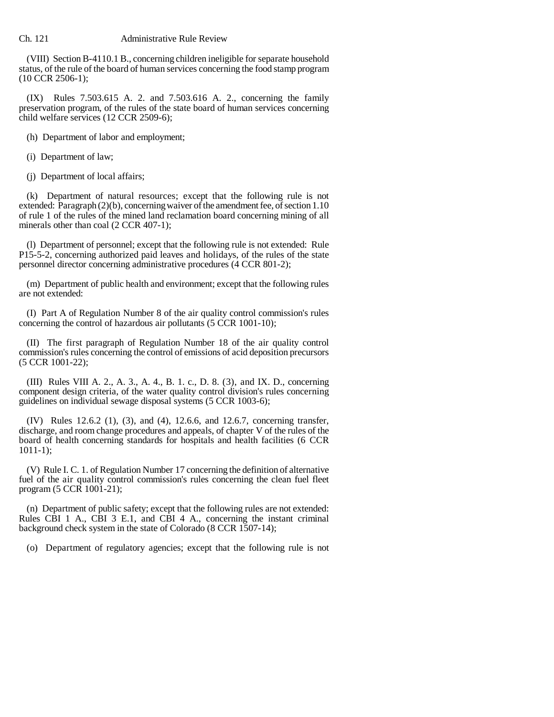## Ch. 121 **Administrative Rule Review**

(VIII) Section B-4110.1 B., concerning children ineligible for separate household status, of the rule of the board of human services concerning the food stamp program (10 CCR 2506-1);

(IX) Rules 7.503.615 A. 2. and 7.503.616 A. 2., concerning the family preservation program, of the rules of the state board of human services concerning child welfare services (12 CCR 2509-6);

(h) Department of labor and employment;

(i) Department of law;

(j) Department of local affairs;

(k) Department of natural resources; except that the following rule is not extended: Paragraph (2)(b), concerning waiver of the amendment fee, of section 1.10 of rule 1 of the rules of the mined land reclamation board concerning mining of all minerals other than coal (2 CCR 407-1);

(l) Department of personnel; except that the following rule is not extended: Rule P15-5-2, concerning authorized paid leaves and holidays, of the rules of the state personnel director concerning administrative procedures (4 CCR 801-2);

(m) Department of public health and environment; except that the following rules are not extended:

(I) Part A of Regulation Number 8 of the air quality control commission's rules concerning the control of hazardous air pollutants (5 CCR 1001-10);

(II) The first paragraph of Regulation Number 18 of the air quality control commission's rules concerning the control of emissions of acid deposition precursors (5 CCR 1001-22);

(III) Rules VIII A. 2., A. 3., A. 4., B. 1. c., D. 8. (3), and IX. D., concerning component design criteria, of the water quality control division's rules concerning guidelines on individual sewage disposal systems (5 CCR 1003-6);

(IV) Rules 12.6.2 (1), (3), and (4), 12.6.6, and 12.6.7, concerning transfer, discharge, and room change procedures and appeals, of chapter V of the rules of the board of health concerning standards for hospitals and health facilities (6 CCR 1011-1);

(V) Rule I. C. 1. of Regulation Number 17 concerning the definition of alternative fuel of the air quality control commission's rules concerning the clean fuel fleet program (5 CCR 1001-21);

(n) Department of public safety; except that the following rules are not extended: Rules CBI 1 A., CBI 3 E.1, and CBI 4 A., concerning the instant criminal background check system in the state of Colorado (8 CCR 1507-14);

(o) Department of regulatory agencies; except that the following rule is not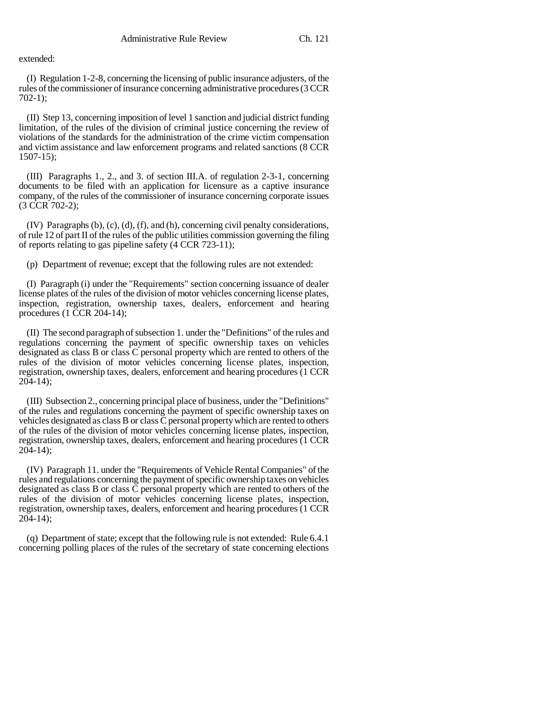extended:

(I) Regulation 1-2-8, concerning the licensing of public insurance adjusters, of the rules of the commissioner of insurance concerning administrative procedures (3 CCR 702-1);

(II) Step 13, concerning imposition of level 1 sanction and judicial district funding limitation, of the rules of the division of criminal justice concerning the review of violations of the standards for the administration of the crime victim compensation and victim assistance and law enforcement programs and related sanctions (8 CCR 1507-15);

(III) Paragraphs 1., 2., and 3. of section III.A. of regulation 2-3-1, concerning documents to be filed with an application for licensure as a captive insurance company, of the rules of the commissioner of insurance concerning corporate issues (3 CCR 702-2);

(IV) Paragraphs (b), (c), (d), (f), and (h), concerning civil penalty considerations, of rule 12 of part II of the rules of the public utilities commission governing the filing of reports relating to gas pipeline safety (4 CCR 723-11);

(p) Department of revenue; except that the following rules are not extended:

(I) Paragraph (i) under the "Requirements" section concerning issuance of dealer license plates of the rules of the division of motor vehicles concerning license plates, inspection, registration, ownership taxes, dealers, enforcement and hearing procedures (1 CCR 204-14);

(II) The second paragraph of subsection 1. under the "Definitions" of the rules and regulations concerning the payment of specific ownership taxes on vehicles designated as class B or class C personal property which are rented to others of the rules of the division of motor vehicles concerning license plates, inspection, registration, ownership taxes, dealers, enforcement and hearing procedures (1 CCR 204-14);

(III) Subsection 2., concerning principal place of business, under the "Definitions" of the rules and regulations concerning the payment of specific ownership taxes on vehicles designated as class B or class C personal property which are rented to others of the rules of the division of motor vehicles concerning license plates, inspection, registration, ownership taxes, dealers, enforcement and hearing procedures (1 CCR 204-14);

(IV) Paragraph 11. under the "Requirements of Vehicle Rental Companies" of the rules and regulations concerning the payment of specific ownership taxes on vehicles designated as class B or class C personal property which are rented to others of the rules of the division of motor vehicles concerning license plates, inspection, registration, ownership taxes, dealers, enforcement and hearing procedures (1 CCR 204-14);

(q) Department of state; except that the following rule is not extended: Rule 6.4.1 concerning polling places of the rules of the secretary of state concerning elections